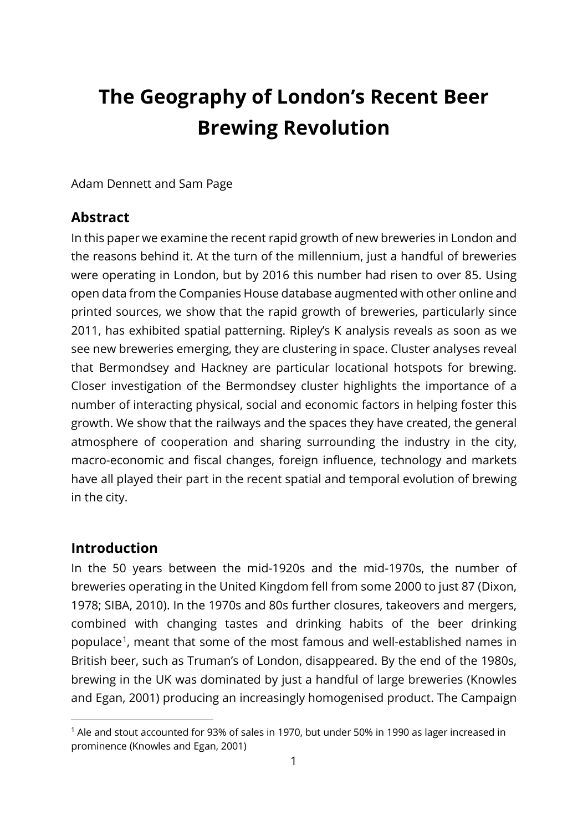# **The Geography of London's Recent Beer Brewing Revolution**

Adam Dennett and Sam Page

## **Abstract**

In this paper we examine the recent rapid growth of new breweries in London and the reasons behind it. At the turn of the millennium, just a handful of breweries were operating in London, but by 2016 this number had risen to over 85. Using open data from the Companies House database augmented with other online and printed sources, we show that the rapid growth of breweries, particularly since 2011, has exhibited spatial patterning. Ripley's K analysis reveals as soon as we see new breweries emerging, they are clustering in space. Cluster analyses reveal that Bermondsey and Hackney are particular locational hotspots for brewing. Closer investigation of the Bermondsey cluster highlights the importance of a number of interacting physical, social and economic factors in helping foster this growth. We show that the railways and the spaces they have created, the general atmosphere of cooperation and sharing surrounding the industry in the city, macro-economic and fiscal changes, foreign influence, technology and markets have all played their part in the recent spatial and temporal evolution of brewing in the city.

## **Introduction**

<u>.</u>

In the 50 years between the mid-1920s and the mid-1970s, the number of breweries operating in the United Kingdom fell from some 2000 to just 87 (Dixon, 1978; SIBA, 2010). In the 1970s and 80s further closures, takeovers and mergers, combined with changing tastes and drinking habits of the beer drinking populace<sup>1</sup>, meant that some of the most famous and well-established names in British beer, such as Truman's of London, disappeared. By the end of the 1980s, brewing in the UK was dominated by just a handful of large breweries (Knowles and Egan, 2001) producing an increasingly homogenised product. The Campaign

<span id="page-0-0"></span><sup>&</sup>lt;sup>1</sup> Ale and stout accounted for 93% of sales in 1970, but under 50% in 1990 as lager increased in prominence (Knowles and Egan, 2001)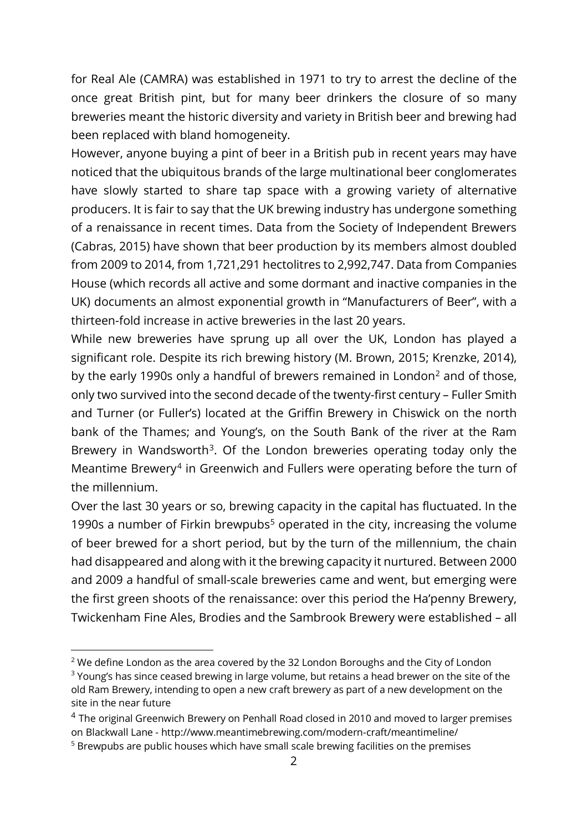for Real Ale (CAMRA) was established in 1971 to try to arrest the decline of the once great British pint, but for many beer drinkers the closure of so many breweries meant the historic diversity and variety in British beer and brewing had been replaced with bland homogeneity.

However, anyone buying a pint of beer in a British pub in recent years may have noticed that the ubiquitous brands of the large multinational beer conglomerates have slowly started to share tap space with a growing variety of alternative producers. It is fair to say that the UK brewing industry has undergone something of a renaissance in recent times. Data from the Society of Independent Brewers (Cabras, 2015) have shown that beer production by its members almost doubled from 2009 to 2014, from 1,721,291 hectolitres to 2,992,747. Data from Companies House (which records all active and some dormant and inactive companies in the UK) documents an almost exponential growth in "Manufacturers of Beer", with a thirteen-fold increase in active breweries in the last 20 years.

While new breweries have sprung up all over the UK, London has played a significant role. Despite its rich brewing history (M. Brown, 2015; Krenzke, 2014), by the early 1990s only a handful of brewers remained in London<sup>[2](#page-1-0)</sup> and of those, only two survived into the second decade of the twenty-first century – Fuller Smith and Turner (or Fuller's) located at the Griffin Brewery in Chiswick on the north bank of the Thames; and Young's, on the South Bank of the river at the Ram Brewery in Wandsworth<sup>3</sup>. Of the London breweries operating today only the Meantime Brewery<sup>[4](#page-1-2)</sup> in Greenwich and Fullers were operating before the turn of the millennium.

Over the last 30 years or so, brewing capacity in the capital has fluctuated. In the 1990s a number of Firkin brewpubs<sup>[5](#page-1-3)</sup> operated in the city, increasing the volume of beer brewed for a short period, but by the turn of the millennium, the chain had disappeared and along with it the brewing capacity it nurtured. Between 2000 and 2009 a handful of small-scale breweries came and went, but emerging were the first green shoots of the renaissance: over this period the Ha'penny Brewery, Twickenham Fine Ales, Brodies and the Sambrook Brewery were established – all

<u>.</u>

<span id="page-1-0"></span> $2$  We define London as the area covered by the 32 London Boroughs and the City of London

<span id="page-1-1"></span><sup>&</sup>lt;sup>3</sup> Young's has since ceased brewing in large volume, but retains a head brewer on the site of the old Ram Brewery, intending to open a new craft brewery as part of a new development on the site in the near future

<span id="page-1-2"></span> $4$  The original Greenwich Brewery on Penhall Road closed in 2010 and moved to larger premises on Blackwall Lane - <http://www.meantimebrewing.com/modern-craft/meantimeline/>

<span id="page-1-3"></span><sup>&</sup>lt;sup>5</sup> Brewpubs are public houses which have small scale brewing facilities on the premises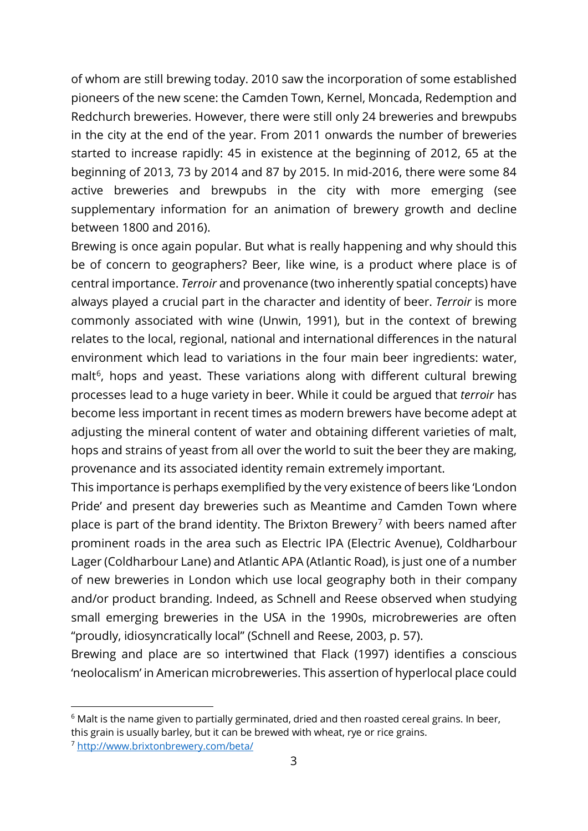of whom are still brewing today. 2010 saw the incorporation of some established pioneers of the new scene: the Camden Town, Kernel, Moncada, Redemption and Redchurch breweries. However, there were still only 24 breweries and brewpubs in the city at the end of the year. From 2011 onwards the number of breweries started to increase rapidly: 45 in existence at the beginning of 2012, 65 at the beginning of 2013, 73 by 2014 and 87 by 2015. In mid-2016, there were some 84 active breweries and brewpubs in the city with more emerging (see supplementary information for an animation of brewery growth and decline between 1800 and 2016).

Brewing is once again popular. But what is really happening and why should this be of concern to geographers? Beer, like wine, is a product where place is of central importance. *Terroir* and provenance (two inherently spatial concepts) have always played a crucial part in the character and identity of beer. *Terroir* is more commonly associated with wine (Unwin, 1991), but in the context of brewing relates to the local, regional, national and international differences in the natural environment which lead to variations in the four main beer ingredients: water,  $malt<sup>6</sup>$  $malt<sup>6</sup>$  $malt<sup>6</sup>$ , hops and yeast. These variations along with different cultural brewing processes lead to a huge variety in beer. While it could be argued that *terroir* has become less important in recent times as modern brewers have become adept at adjusting the mineral content of water and obtaining different varieties of malt, hops and strains of yeast from all over the world to suit the beer they are making, provenance and its associated identity remain extremely important.

This importance is perhaps exemplified by the very existence of beers like 'London Pride' and present day breweries such as Meantime and Camden Town where place is part of the brand identity. The Brixton Brewery<sup>[7](#page-2-1)</sup> with beers named after prominent roads in the area such as Electric IPA (Electric Avenue), Coldharbour Lager (Coldharbour Lane) and Atlantic APA (Atlantic Road), is just one of a number of new breweries in London which use local geography both in their company and/or product branding. Indeed, as Schnell and Reese observed when studying small emerging breweries in the USA in the 1990s, microbreweries are often "proudly, idiosyncratically local" (Schnell and Reese, 2003, p. 57).

Brewing and place are so intertwined that Flack (1997) identifies a conscious 'neolocalism' in American microbreweries. This assertion of hyperlocal place could

<u>.</u>

<span id="page-2-0"></span> $6$  Malt is the name given to partially germinated, dried and then roasted cereal grains. In beer, this grain is usually barley, but it can be brewed with wheat, rye or rice grains.

<span id="page-2-1"></span><sup>7</sup> <http://www.brixtonbrewery.com/beta/>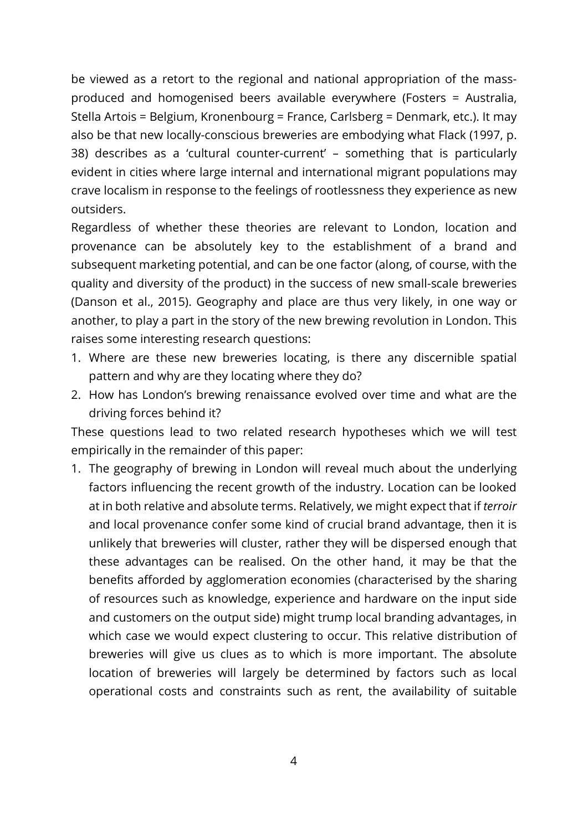be viewed as a retort to the regional and national appropriation of the massproduced and homogenised beers available everywhere (Fosters = Australia, Stella Artois = Belgium, Kronenbourg = France, Carlsberg = Denmark, etc.). It may also be that new locally-conscious breweries are embodying what Flack (1997, p. 38) describes as a 'cultural counter-current' – something that is particularly evident in cities where large internal and international migrant populations may crave localism in response to the feelings of rootlessness they experience as new outsiders.

Regardless of whether these theories are relevant to London, location and provenance can be absolutely key to the establishment of a brand and subsequent marketing potential, and can be one factor (along, of course, with the quality and diversity of the product) in the success of new small-scale breweries (Danson et al., 2015). Geography and place are thus very likely, in one way or another, to play a part in the story of the new brewing revolution in London. This raises some interesting research questions:

- 1. Where are these new breweries locating, is there any discernible spatial pattern and why are they locating where they do?
- 2. How has London's brewing renaissance evolved over time and what are the driving forces behind it?

These questions lead to two related research hypotheses which we will test empirically in the remainder of this paper:

1. The geography of brewing in London will reveal much about the underlying factors influencing the recent growth of the industry. Location can be looked at in both relative and absolute terms. Relatively, we might expect that if *terroir* and local provenance confer some kind of crucial brand advantage, then it is unlikely that breweries will cluster, rather they will be dispersed enough that these advantages can be realised. On the other hand, it may be that the benefits afforded by agglomeration economies (characterised by the sharing of resources such as knowledge, experience and hardware on the input side and customers on the output side) might trump local branding advantages, in which case we would expect clustering to occur. This relative distribution of breweries will give us clues as to which is more important. The absolute location of breweries will largely be determined by factors such as local operational costs and constraints such as rent, the availability of suitable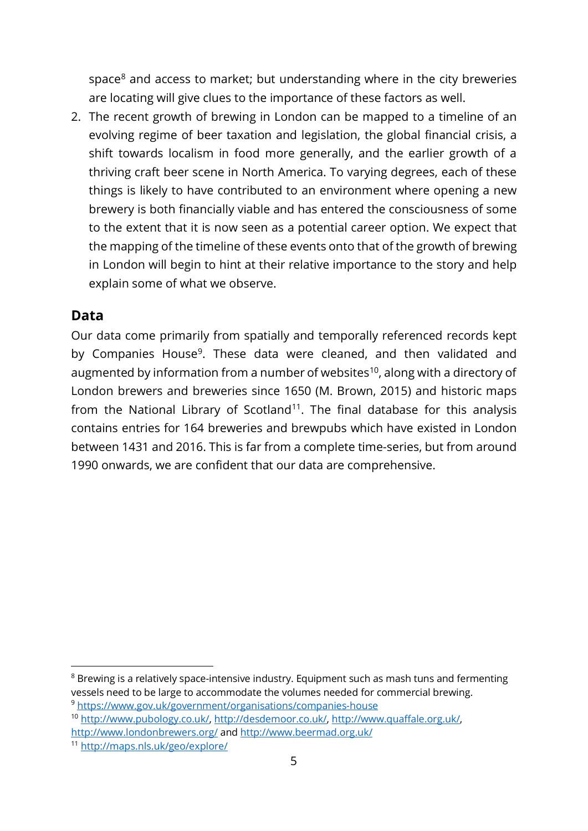space $8$  and access to market; but understanding where in the city breweries are locating will give clues to the importance of these factors as well.

2. The recent growth of brewing in London can be mapped to a timeline of an evolving regime of beer taxation and legislation, the global financial crisis, a shift towards localism in food more generally, and the earlier growth of a thriving craft beer scene in North America. To varying degrees, each of these things is likely to have contributed to an environment where opening a new brewery is both financially viable and has entered the consciousness of some to the extent that it is now seen as a potential career option. We expect that the mapping of the timeline of these events onto that of the growth of brewing in London will begin to hint at their relative importance to the story and help explain some of what we observe.

#### **Data**

-

Our data come primarily from spatially and temporally referenced records kept by Companies House<sup>9</sup>. These data were cleaned, and then validated and augmented by information from a number of websites<sup>10</sup>, along with a directory of London brewers and breweries since 1650 (M. Brown, 2015) and historic maps from the National Library of Scotland<sup>11</sup>. The final database for this analysis contains entries for 164 breweries and brewpubs which have existed in London between 1431 and 2016. This is far from a complete time-series, but from around 1990 onwards, we are confident that our data are comprehensive.

<span id="page-4-0"></span><sup>&</sup>lt;sup>8</sup> Brewing is a relatively space-intensive industry. Equipment such as mash tuns and fermenting vessels need to be large to accommodate the volumes needed for commercial brewing. <sup>9</sup> <https://www.gov.uk/government/organisations/companies-house>

<span id="page-4-2"></span><span id="page-4-1"></span><sup>10</sup> [http://www.pubology.co.uk/,](http://www.pubology.co.uk/) [http://desdemoor.co.uk/,](http://desdemoor.co.uk/) [http://www.quaffale.org.uk/,](http://www.quaffale.org.uk/) <http://www.londonbrewers.org/> and<http://www.beermad.org.uk/>

<span id="page-4-3"></span><sup>11</sup> <http://maps.nls.uk/geo/explore/>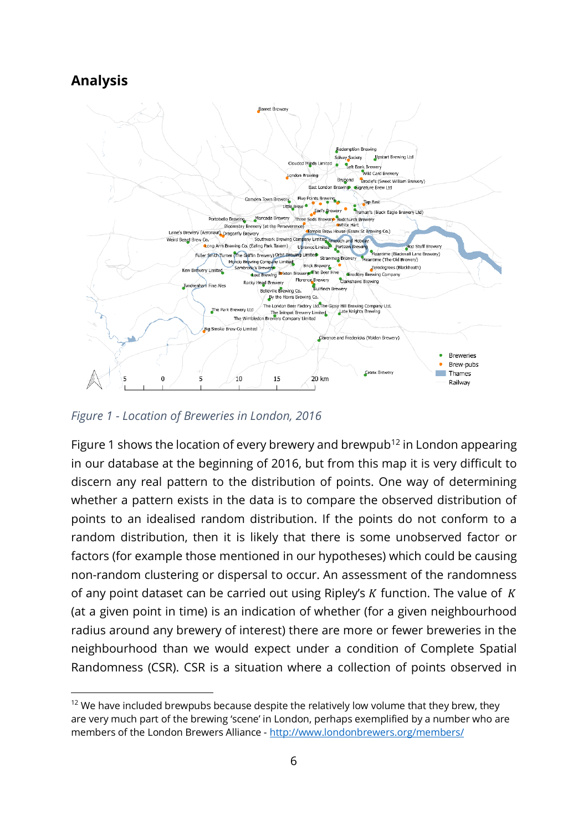## **Analysis**

<u>.</u>



#### <span id="page-5-0"></span>*Figure 1 - Location of Breweries in London, 2016*

[Figure 1](#page-5-0) shows the location of every brewery and brewpub<sup>[12](#page-5-1)</sup> in London appearing in our database at the beginning of 2016, but from this map it is very difficult to discern any real pattern to the distribution of points. One way of determining whether a pattern exists in the data is to compare the observed distribution of points to an idealised random distribution. If the points do not conform to a random distribution, then it is likely that there is some unobserved factor or factors (for example those mentioned in our hypotheses) which could be causing non-random clustering or dispersal to occur. An assessment of the randomness of any point dataset can be carried out using Ripley's  $K$  function. The value of  $K$ (at a given point in time) is an indication of whether (for a given neighbourhood radius around any brewery of interest) there are more or fewer breweries in the neighbourhood than we would expect under a condition of Complete Spatial Randomness (CSR). CSR is a situation where a collection of points observed in

<span id="page-5-1"></span> $12$  We have included brewpubs because despite the relatively low volume that they brew, they are very much part of the brewing 'scene' in London, perhaps exemplified by a number who are members of the London Brewers Alliance - <http://www.londonbrewers.org/members/>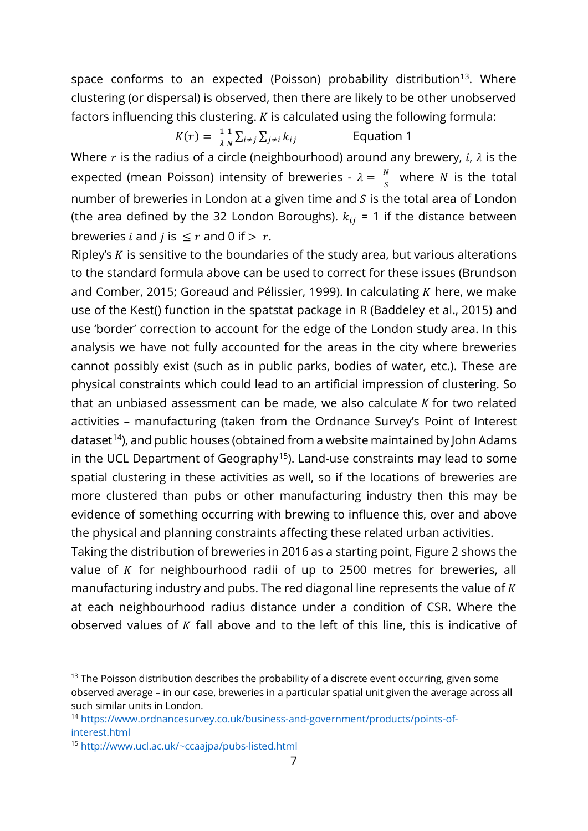space conforms to an expected (Poisson) probability distribution<sup>[13](#page-6-0)</sup>. Where clustering (or dispersal) is observed, then there are likely to be other unobserved factors influencing this clustering.  $K$  is calculated using the following formula:

$$
K(r) = \frac{1}{\lambda} \frac{1}{N} \sum_{i \neq j} \sum_{j \neq i} k_{ij}
$$
 Equation 1

Where  $r$  is the radius of a circle (neighbourhood) around any brewery,  $i$ ,  $\lambda$  is the expected (mean Poisson) intensity of breweries -  $\lambda = \frac{N}{S}$  where N is the total number of breweries in London at a given time and  $S$  is the total area of London (the area defined by the 32 London Boroughs).  $k_{ij} = 1$  if the distance between breweries *i* and *j* is  $\leq r$  and 0 if  $> r$ .

Ripley's  $K$  is sensitive to the boundaries of the study area, but various alterations to the standard formula above can be used to correct for these issues (Brundson and Comber, 2015; Goreaud and Pélissier, 1999). In calculating  $K$  here, we make use of the Kest() function in the spatstat package in R (Baddeley et al., 2015) and use 'border' correction to account for the edge of the London study area. In this analysis we have not fully accounted for the areas in the city where breweries cannot possibly exist (such as in public parks, bodies of water, etc.). These are physical constraints which could lead to an artificial impression of clustering. So that an unbiased assessment can be made, we also calculate *K* for two related activities – manufacturing (taken from the Ordnance Survey's Point of Interest dataset<sup>[14](#page-6-1)</sup>), and public houses (obtained from a website maintained by John Adams in the UCL Department of Geography<sup>15</sup>). Land-use constraints may lead to some spatial clustering in these activities as well, so if the locations of breweries are more clustered than pubs or other manufacturing industry then this may be evidence of something occurring with brewing to influence this, over and above the physical and planning constraints affecting these related urban activities.

Taking the distribution of breweries in 2016 as a starting point, [Figure 2](#page-8-0) shows the value of  $K$  for neighbourhood radii of up to 2500 metres for breweries, all manufacturing industry and pubs. The red diagonal line represents the value of  $K$ at each neighbourhood radius distance under a condition of CSR. Where the observed values of  $K$  fall above and to the left of this line, this is indicative of

-

<span id="page-6-0"></span> $13$  The Poisson distribution describes the probability of a discrete event occurring, given some observed average – in our case, breweries in a particular spatial unit given the average across all such similar units in London.

<span id="page-6-1"></span><sup>14</sup> [https://www.ordnancesurvey.co.uk/business-and-government/products/points-of](https://www.ordnancesurvey.co.uk/business-and-government/products/points-of-interest.html)[interest.html](https://www.ordnancesurvey.co.uk/business-and-government/products/points-of-interest.html)

<span id="page-6-2"></span><sup>15</sup> [http://www.ucl.ac.uk/~ccaajpa/pubs-listed.html](http://www.ucl.ac.uk/%7Eccaajpa/pubs-listed.html)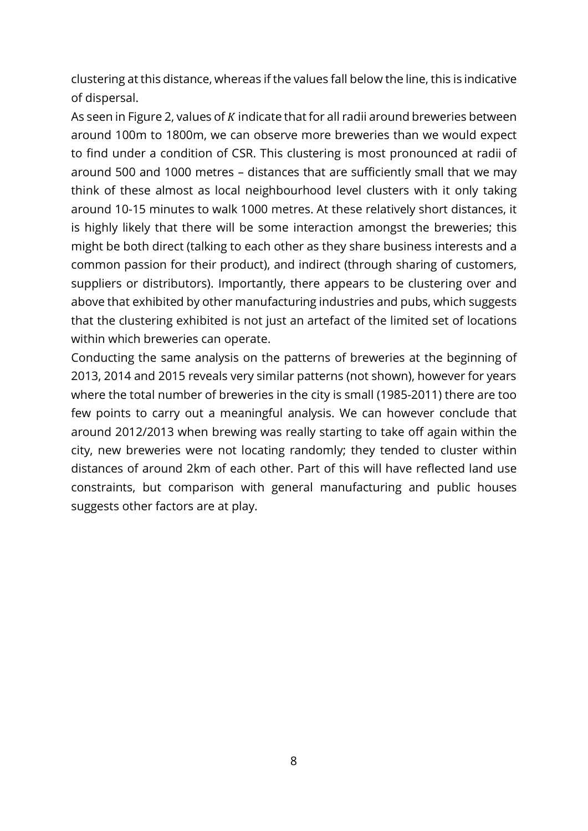clustering at this distance, whereas if the values fall below the line, this is indicative of dispersal.

As seen i[n Figure 2,](#page-8-0) values of  $K$  indicate that for all radii around breweries between around 100m to 1800m, we can observe more breweries than we would expect to find under a condition of CSR. This clustering is most pronounced at radii of around 500 and 1000 metres – distances that are sufficiently small that we may think of these almost as local neighbourhood level clusters with it only taking around 10-15 minutes to walk 1000 metres. At these relatively short distances, it is highly likely that there will be some interaction amongst the breweries; this might be both direct (talking to each other as they share business interests and a common passion for their product), and indirect (through sharing of customers, suppliers or distributors). Importantly, there appears to be clustering over and above that exhibited by other manufacturing industries and pubs, which suggests that the clustering exhibited is not just an artefact of the limited set of locations within which breweries can operate.

Conducting the same analysis on the patterns of breweries at the beginning of 2013, 2014 and 2015 reveals very similar patterns (not shown), however for years where the total number of breweries in the city is small (1985-2011) there are too few points to carry out a meaningful analysis. We can however conclude that around 2012/2013 when brewing was really starting to take off again within the city, new breweries were not locating randomly; they tended to cluster within distances of around 2km of each other. Part of this will have reflected land use constraints, but comparison with general manufacturing and public houses suggests other factors are at play.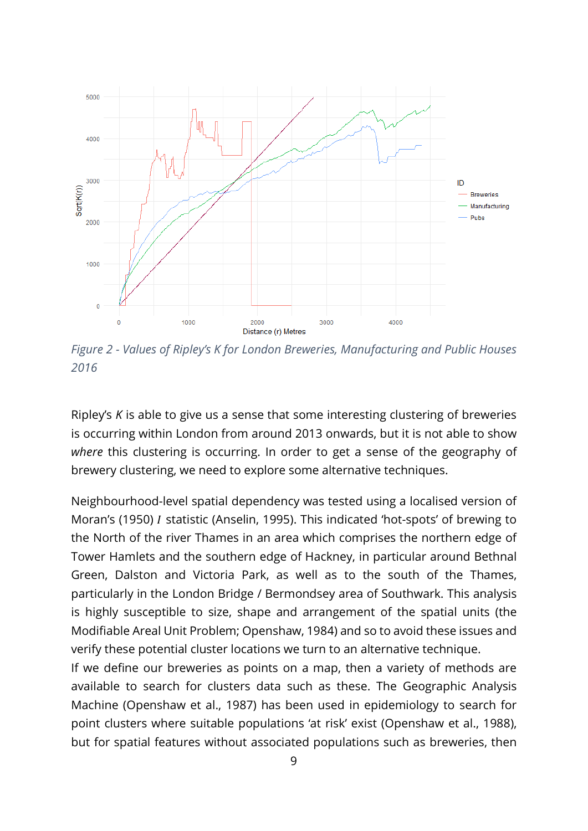

<span id="page-8-0"></span>*Figure 2 - Values of Ripley's K for London Breweries, Manufacturing and Public Houses 2016*

Ripley's *K* is able to give us a sense that some interesting clustering of breweries is occurring within London from around 2013 onwards, but it is not able to show *where* this clustering is occurring. In order to get a sense of the geography of brewery clustering, we need to explore some alternative techniques.

Neighbourhood-level spatial dependency was tested using a localised version of Moran's (1950) *I* statistic (Anselin, 1995). This indicated 'hot-spots' of brewing to the North of the river Thames in an area which comprises the northern edge of Tower Hamlets and the southern edge of Hackney, in particular around Bethnal Green, Dalston and Victoria Park, as well as to the south of the Thames, particularly in the London Bridge / Bermondsey area of Southwark. This analysis is highly susceptible to size, shape and arrangement of the spatial units (the Modifiable Areal Unit Problem; Openshaw, 1984) and so to avoid these issues and verify these potential cluster locations we turn to an alternative technique.

If we define our breweries as points on a map, then a variety of methods are available to search for clusters data such as these. The Geographic Analysis Machine (Openshaw et al., 1987) has been used in epidemiology to search for point clusters where suitable populations 'at risk' exist (Openshaw et al., 1988), but for spatial features without associated populations such as breweries, then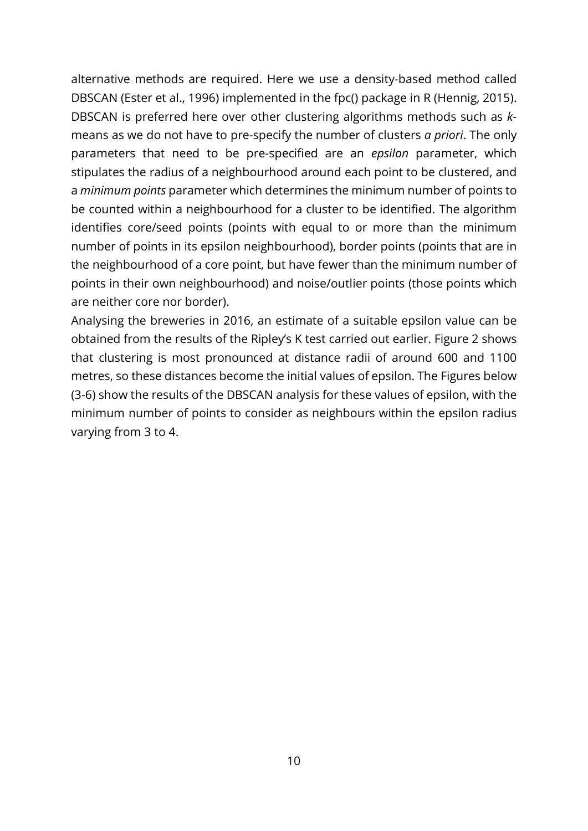alternative methods are required. Here we use a density-based method called DBSCAN (Ester et al., 1996) implemented in the fpc() package in R (Hennig, 2015). DBSCAN is preferred here over other clustering algorithms methods such as *k*means as we do not have to pre-specify the number of clusters *a priori*. The only parameters that need to be pre-specified are an *epsilon* parameter, which stipulates the radius of a neighbourhood around each point to be clustered, and a *minimum points* parameter which determines the minimum number of points to be counted within a neighbourhood for a cluster to be identified. The algorithm identifies core/seed points (points with equal to or more than the minimum number of points in its epsilon neighbourhood), border points (points that are in the neighbourhood of a core point, but have fewer than the minimum number of points in their own neighbourhood) and noise/outlier points (those points which are neither core nor border).

Analysing the breweries in 2016, an estimate of a suitable epsilon value can be obtained from the results of the Ripley's K test carried out earlier. [Figure 2](#page-8-0) shows that clustering is most pronounced at distance radii of around 600 and 1100 metres, so these distances become the initial values of epsilon. The Figures below (3-6) show the results of the DBSCAN analysis for these values of epsilon, with the minimum number of points to consider as neighbours within the epsilon radius varying from 3 to 4.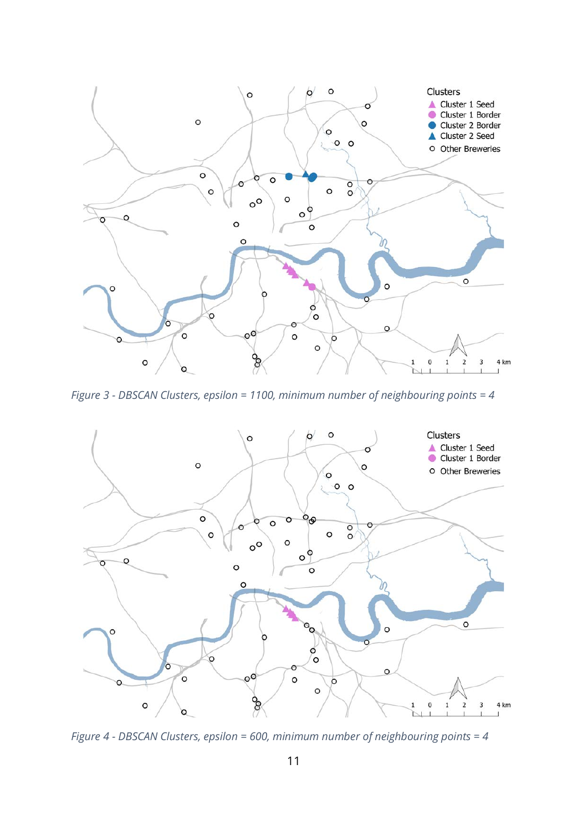

<span id="page-10-0"></span>*Figure 3 - DBSCAN Clusters, epsilon = 1100, minimum number of neighbouring points = 4*



<span id="page-10-1"></span>*Figure 4 - DBSCAN Clusters, epsilon = 600, minimum number of neighbouring points = 4*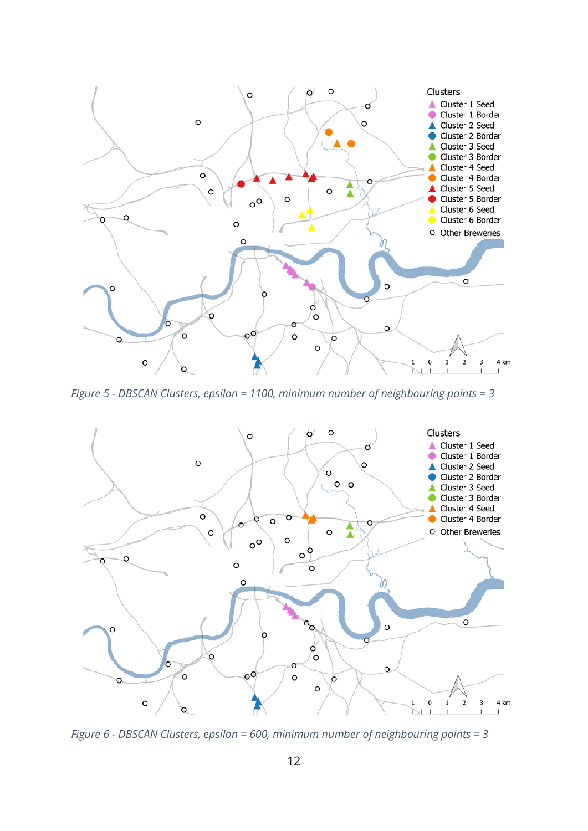

<span id="page-11-0"></span>*Figure 5 - DBSCAN Clusters, epsilon = 1100, minimum number of neighbouring points = 3*



*Figure 6 - DBSCAN Clusters, epsilon = 600, minimum number of neighbouring points = 3*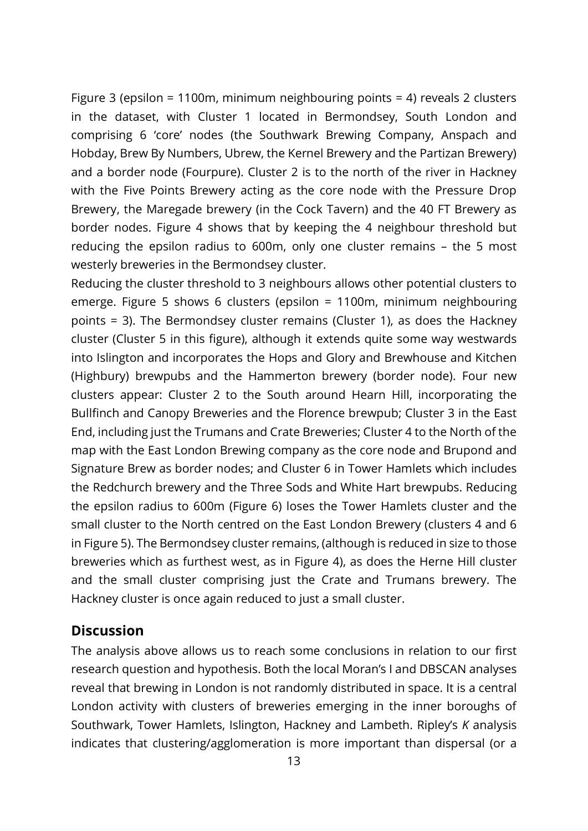[Figure 3](#page-10-0) (epsilon = 1100m, minimum neighbouring points = 4) reveals 2 clusters in the dataset, with Cluster 1 located in Bermondsey, South London and comprising 6 'core' nodes (the Southwark Brewing Company, Anspach and Hobday, Brew By Numbers, Ubrew, the Kernel Brewery and the Partizan Brewery) and a border node (Fourpure). Cluster 2 is to the north of the river in Hackney with the Five Points Brewery acting as the core node with the Pressure Drop Brewery, the Maregade brewery (in the Cock Tavern) and the 40 FT Brewery as border nodes. [Figure 4](#page-10-1) shows that by keeping the 4 neighbour threshold but reducing the epsilon radius to 600m, only one cluster remains – the 5 most westerly breweries in the Bermondsey cluster.

Reducing the cluster threshold to 3 neighbours allows other potential clusters to emerge. [Figure 5](#page-11-0) shows 6 clusters (epsilon = 1100m, minimum neighbouring points = 3). The Bermondsey cluster remains (Cluster 1), as does the Hackney cluster (Cluster 5 in this figure), although it extends quite some way westwards into Islington and incorporates the Hops and Glory and Brewhouse and Kitchen (Highbury) brewpubs and the Hammerton brewery (border node). Four new clusters appear: Cluster 2 to the South around Hearn Hill, incorporating the Bullfinch and Canopy Breweries and the Florence brewpub; Cluster 3 in the East End, including just the Trumans and Crate Breweries; Cluster 4 to the North of the map with the East London Brewing company as the core node and Brupond and Signature Brew as border nodes; and Cluster 6 in Tower Hamlets which includes the Redchurch brewery and the Three Sods and White Hart brewpubs. Reducing the epsilon radius to 600m (Figure 6) loses the Tower Hamlets cluster and the small cluster to the North centred on the East London Brewery (clusters 4 and 6 in [Figure 5\)](#page-11-0). The Bermondsey cluster remains, (although is reduced in size to those breweries which as furthest west, as in [Figure 4\)](#page-10-1), as does the Herne Hill cluster and the small cluster comprising just the Crate and Trumans brewery. The Hackney cluster is once again reduced to just a small cluster.

### **Discussion**

The analysis above allows us to reach some conclusions in relation to our first research question and hypothesis. Both the local Moran's I and DBSCAN analyses reveal that brewing in London is not randomly distributed in space. It is a central London activity with clusters of breweries emerging in the inner boroughs of Southwark, Tower Hamlets, Islington, Hackney and Lambeth. Ripley's *K* analysis indicates that clustering/agglomeration is more important than dispersal (or a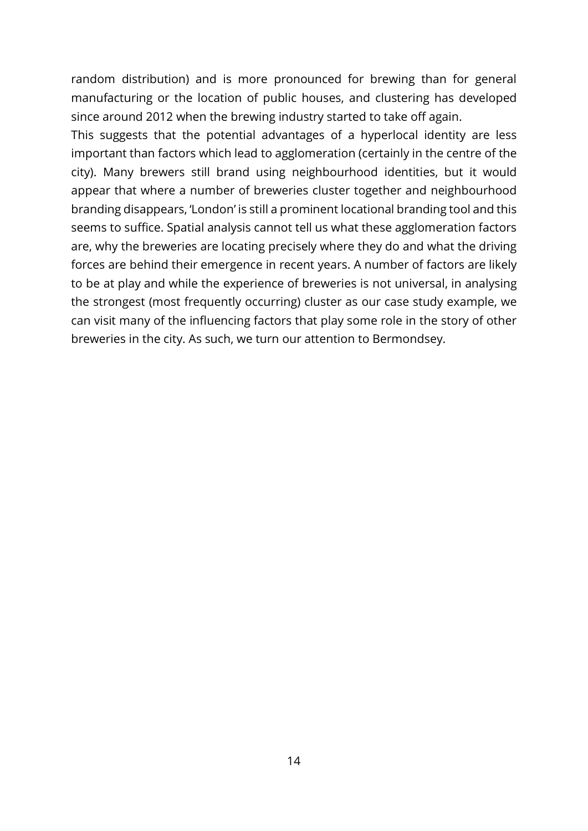random distribution) and is more pronounced for brewing than for general manufacturing or the location of public houses, and clustering has developed since around 2012 when the brewing industry started to take off again.

This suggests that the potential advantages of a hyperlocal identity are less important than factors which lead to agglomeration (certainly in the centre of the city). Many brewers still brand using neighbourhood identities, but it would appear that where a number of breweries cluster together and neighbourhood branding disappears, 'London' is still a prominent locational branding tool and this seems to suffice. Spatial analysis cannot tell us what these agglomeration factors are, why the breweries are locating precisely where they do and what the driving forces are behind their emergence in recent years. A number of factors are likely to be at play and while the experience of breweries is not universal, in analysing the strongest (most frequently occurring) cluster as our case study example, we can visit many of the influencing factors that play some role in the story of other breweries in the city. As such, we turn our attention to Bermondsey.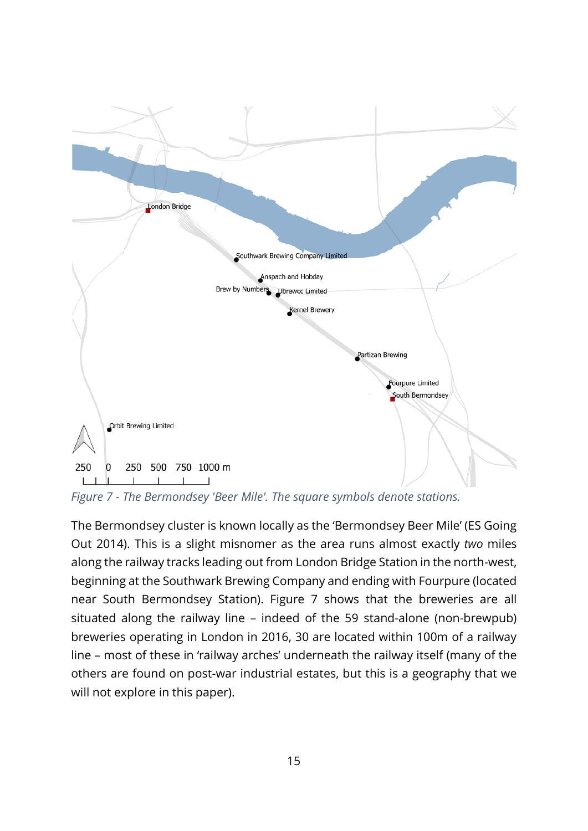<span id="page-14-0"></span>

*Figure 7 - The Bermondsey 'Beer Mile'. The square symbols denote stations.*

The Bermondsey cluster is known locally as the 'Bermondsey Beer Mile' (ES Going Out 2014). This is a slight misnomer as the area runs almost exactly *two* miles along the railway tracks leading out from London Bridge Station in the north-west, beginning at the Southwark Brewing Company and ending with Fourpure (located near South Bermondsey Station). [Figure 7](#page-14-0) shows that the breweries are all situated along the railway line – indeed of the 59 stand-alone (non-brewpub) breweries operating in London in 2016, 30 are located within 100m of a railway line – most of these in 'railway arches' underneath the railway itself (many of the others are found on post-war industrial estates, but this is a geography that we will not explore in this paper).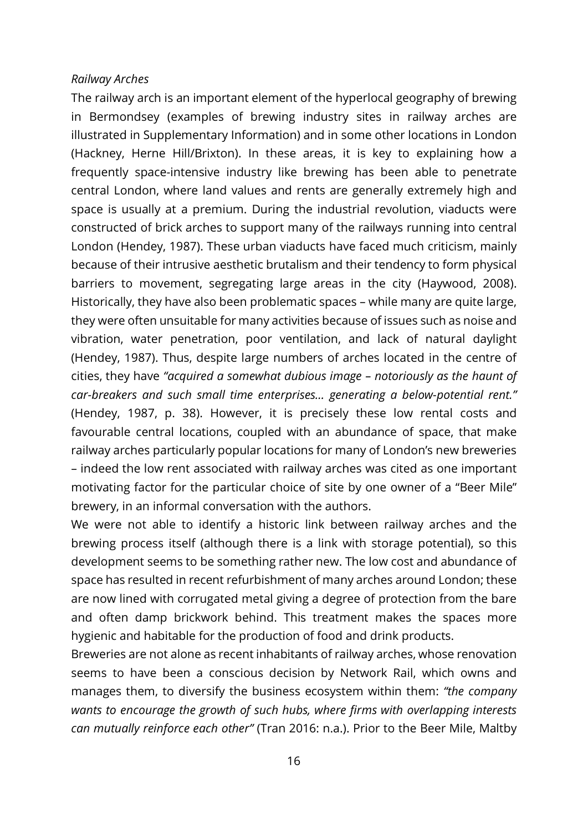#### *Railway Arches*

The railway arch is an important element of the hyperlocal geography of brewing in Bermondsey (examples of brewing industry sites in railway arches are illustrated in Supplementary Information) and in some other locations in London (Hackney, Herne Hill/Brixton). In these areas, it is key to explaining how a frequently space-intensive industry like brewing has been able to penetrate central London, where land values and rents are generally extremely high and space is usually at a premium. During the industrial revolution, viaducts were constructed of brick arches to support many of the railways running into central London (Hendey, 1987). These urban viaducts have faced much criticism, mainly because of their intrusive aesthetic brutalism and their tendency to form physical barriers to movement, segregating large areas in the city (Haywood, 2008). Historically, they have also been problematic spaces – while many are quite large, they were often unsuitable for many activities because of issues such as noise and vibration, water penetration, poor ventilation, and lack of natural daylight (Hendey, 1987). Thus, despite large numbers of arches located in the centre of cities, they have *"acquired a somewhat dubious image – notoriously as the haunt of car-breakers and such small time enterprises… generating a below-potential rent."* (Hendey, 1987, p. 38). However, it is precisely these low rental costs and favourable central locations, coupled with an abundance of space, that make railway arches particularly popular locations for many of London's new breweries – indeed the low rent associated with railway arches was cited as one important motivating factor for the particular choice of site by one owner of a "Beer Mile" brewery, in an informal conversation with the authors.

We were not able to identify a historic link between railway arches and the brewing process itself (although there is a link with storage potential), so this development seems to be something rather new. The low cost and abundance of space has resulted in recent refurbishment of many arches around London; these are now lined with corrugated metal giving a degree of protection from the bare and often damp brickwork behind. This treatment makes the spaces more hygienic and habitable for the production of food and drink products.

Breweries are not alone as recent inhabitants of railway arches, whose renovation seems to have been a conscious decision by Network Rail, which owns and manages them, to diversify the business ecosystem within them: *"the company wants to encourage the growth of such hubs, where firms with overlapping interests can mutually reinforce each other"* (Tran 2016: n.a.). Prior to the Beer Mile, Maltby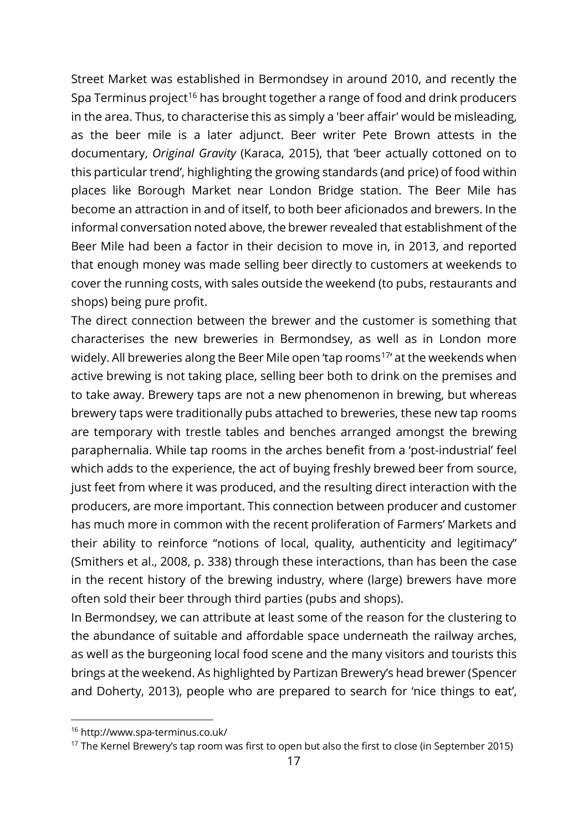Street Market was established in Bermondsey in around 2010, and recently the Spa Terminus project<sup>[16](#page-16-0)</sup> has brought together a range of food and drink producers in the area. Thus, to characterise this as simply a 'beer affair' would be misleading, as the beer mile is a later adjunct. Beer writer Pete Brown attests in the documentary, *Original Gravity* (Karaca, 2015), that 'beer actually cottoned on to this particular trend', highlighting the growing standards (and price) of food within places like Borough Market near London Bridge station. The Beer Mile has become an attraction in and of itself, to both beer aficionados and brewers. In the informal conversation noted above, the brewer revealed that establishment of the Beer Mile had been a factor in their decision to move in, in 2013, and reported that enough money was made selling beer directly to customers at weekends to cover the running costs, with sales outside the weekend (to pubs, restaurants and shops) being pure profit.

The direct connection between the brewer and the customer is something that characterises the new breweries in Bermondsey, as well as in London more widely. All breweries along the Beer Mile open 'tap rooms<sup>[17](#page-16-1)</sup>' at the weekends when active brewing is not taking place, selling beer both to drink on the premises and to take away. Brewery taps are not a new phenomenon in brewing, but whereas brewery taps were traditionally pubs attached to breweries, these new tap rooms are temporary with trestle tables and benches arranged amongst the brewing paraphernalia. While tap rooms in the arches benefit from a 'post-industrial' feel which adds to the experience, the act of buying freshly brewed beer from source, just feet from where it was produced, and the resulting direct interaction with the producers, are more important. This connection between producer and customer has much more in common with the recent proliferation of Farmers' Markets and their ability to reinforce "notions of local, quality, authenticity and legitimacy" (Smithers et al., 2008, p. 338) through these interactions, than has been the case in the recent history of the brewing industry, where (large) brewers have more often sold their beer through third parties (pubs and shops).

In Bermondsey, we can attribute at least some of the reason for the clustering to the abundance of suitable and affordable space underneath the railway arches, as well as the burgeoning local food scene and the many visitors and tourists this brings at the weekend. As highlighted by Partizan Brewery's head brewer (Spencer and Doherty, 2013), people who are prepared to search for 'nice things to eat',

<u>.</u>

<span id="page-16-0"></span><sup>16</sup> http://www.spa-terminus.co.uk/

<span id="page-16-1"></span><sup>&</sup>lt;sup>17</sup> The Kernel Brewery's tap room was first to open but also the first to close (in September 2015)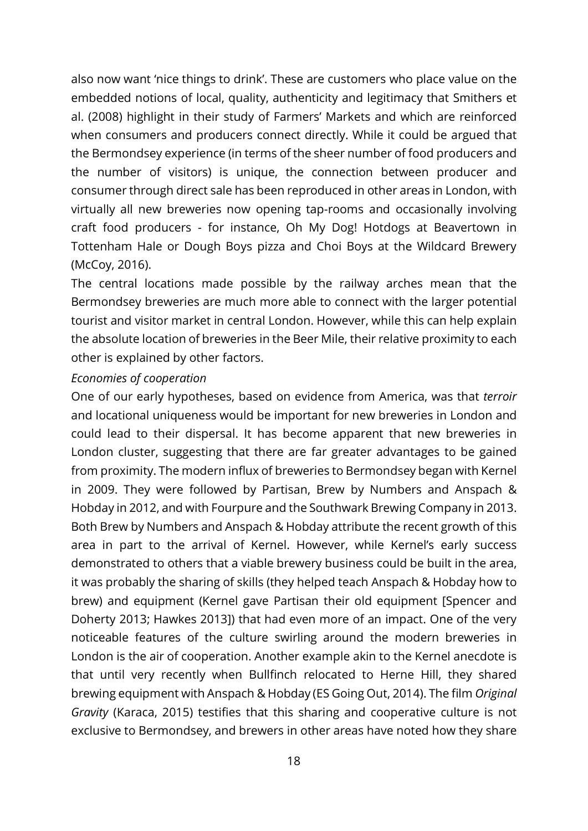also now want 'nice things to drink'. These are customers who place value on the embedded notions of local, quality, authenticity and legitimacy that Smithers et al. (2008) highlight in their study of Farmers' Markets and which are reinforced when consumers and producers connect directly. While it could be argued that the Bermondsey experience (in terms of the sheer number of food producers and the number of visitors) is unique, the connection between producer and consumer through direct sale has been reproduced in other areas in London, with virtually all new breweries now opening tap-rooms and occasionally involving craft food producers - for instance, Oh My Dog! Hotdogs at Beavertown in Tottenham Hale or Dough Boys pizza and Choi Boys at the Wildcard Brewery (McCoy, 2016).

The central locations made possible by the railway arches mean that the Bermondsey breweries are much more able to connect with the larger potential tourist and visitor market in central London. However, while this can help explain the absolute location of breweries in the Beer Mile, their relative proximity to each other is explained by other factors.

#### *Economies of cooperation*

One of our early hypotheses, based on evidence from America, was that *terroir* and locational uniqueness would be important for new breweries in London and could lead to their dispersal. It has become apparent that new breweries in London cluster, suggesting that there are far greater advantages to be gained from proximity. The modern influx of breweries to Bermondsey began with Kernel in 2009. They were followed by Partisan, Brew by Numbers and Anspach & Hobday in 2012, and with Fourpure and the Southwark Brewing Company in 2013. Both Brew by Numbers and Anspach & Hobday attribute the recent growth of this area in part to the arrival of Kernel. However, while Kernel's early success demonstrated to others that a viable brewery business could be built in the area, it was probably the sharing of skills (they helped teach Anspach & Hobday how to brew) and equipment (Kernel gave Partisan their old equipment [Spencer and Doherty 2013; Hawkes 2013]) that had even more of an impact. One of the very noticeable features of the culture swirling around the modern breweries in London is the air of cooperation. Another example akin to the Kernel anecdote is that until very recently when Bullfinch relocated to Herne Hill, they shared brewing equipment with Anspach & Hobday (ES Going Out, 2014). The film *Original Gravity* (Karaca, 2015) testifies that this sharing and cooperative culture is not exclusive to Bermondsey, and brewers in other areas have noted how they share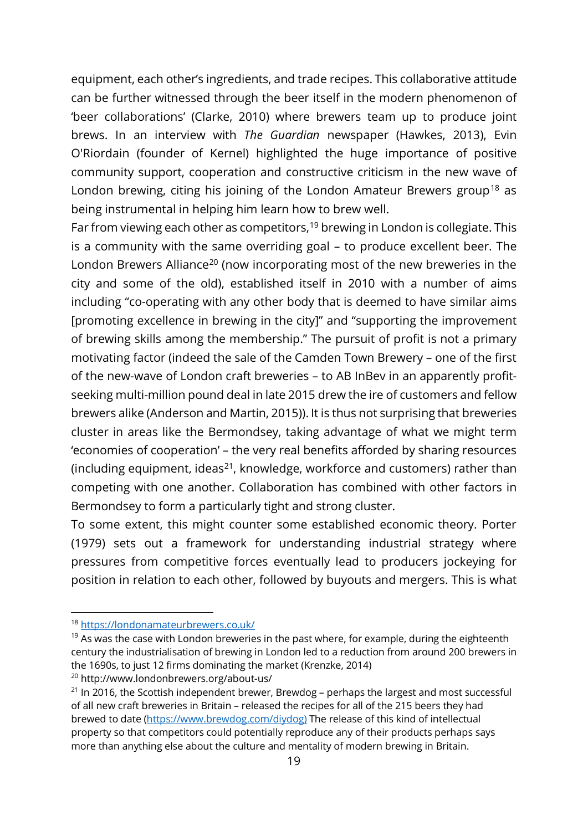equipment, each other's ingredients, and trade recipes. This collaborative attitude can be further witnessed through the beer itself in the modern phenomenon of 'beer collaborations' (Clarke, 2010) where brewers team up to produce joint brews. In an interview with *The Guardian* newspaper (Hawkes, 2013), Evin O'Riordain (founder of Kernel) highlighted the huge importance of positive community support, cooperation and constructive criticism in the new wave of London brewing, citing his joining of the London Amateur Brewers group<sup>[18](#page-18-0)</sup> as being instrumental in helping him learn how to brew well.

Far from viewing each other as competitors,<sup>[19](#page-18-1)</sup> brewing in London is collegiate. This is a community with the same overriding goal – to produce excellent beer. The London Brewers Alliance<sup>[20](#page-18-2)</sup> (now incorporating most of the new breweries in the city and some of the old), established itself in 2010 with a number of aims including "co-operating with any other body that is deemed to have similar aims [promoting excellence in brewing in the city]" and "supporting the improvement of brewing skills among the membership." The pursuit of profit is not a primary motivating factor (indeed the sale of the Camden Town Brewery – one of the first of the new-wave of London craft breweries – to AB InBev in an apparently profitseeking multi-million pound deal in late 2015 drew the ire of customers and fellow brewers alike (Anderson and Martin, 2015)). It is thus not surprising that breweries cluster in areas like the Bermondsey, taking advantage of what we might term 'economies of cooperation' – the very real benefits afforded by sharing resources (including equipment, ideas<sup>21</sup>, knowledge, workforce and customers) rather than competing with one another. Collaboration has combined with other factors in Bermondsey to form a particularly tight and strong cluster.

To some extent, this might counter some established economic theory. Porter (1979) sets out a framework for understanding industrial strategy where pressures from competitive forces eventually lead to producers jockeying for position in relation to each other, followed by buyouts and mergers. This is what

-

<span id="page-18-0"></span><sup>18</sup> <https://londonamateurbrewers.co.uk/>

<span id="page-18-1"></span> $19$  As was the case with London breweries in the past where, for example, during the eighteenth century the industrialisation of brewing in London led to a reduction from around 200 brewers in the 1690s, to just 12 firms dominating the market (Krenzke, 2014)

<span id="page-18-2"></span><sup>20</sup> http://www.londonbrewers.org/about-us/

<span id="page-18-3"></span> $21$  In 2016, the Scottish independent brewer, Brewdog – perhaps the largest and most successful of all new craft breweries in Britain – released the recipes for all of the 215 beers they had brewed to date [\(https://www.brewdog.com/diydog\)](https://www.brewdog.com/diydog) The release of this kind of intellectual property so that competitors could potentially reproduce any of their products perhaps says more than anything else about the culture and mentality of modern brewing in Britain.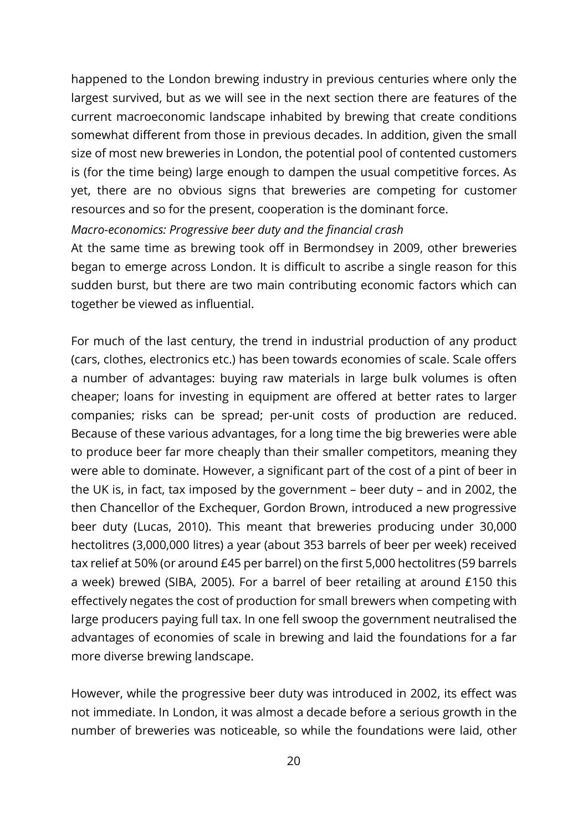happened to the London brewing industry in previous centuries where only the largest survived, but as we will see in the next section there are features of the current macroeconomic landscape inhabited by brewing that create conditions somewhat different from those in previous decades. In addition, given the small size of most new breweries in London, the potential pool of contented customers is (for the time being) large enough to dampen the usual competitive forces. As yet, there are no obvious signs that breweries are competing for customer resources and so for the present, cooperation is the dominant force.

#### *Macro-economics: Progressive beer duty and the financial crash*

At the same time as brewing took off in Bermondsey in 2009, other breweries began to emerge across London. It is difficult to ascribe a single reason for this sudden burst, but there are two main contributing economic factors which can together be viewed as influential.

For much of the last century, the trend in industrial production of any product (cars, clothes, electronics etc.) has been towards economies of scale. Scale offers a number of advantages: buying raw materials in large bulk volumes is often cheaper; loans for investing in equipment are offered at better rates to larger companies; risks can be spread; per-unit costs of production are reduced. Because of these various advantages, for a long time the big breweries were able to produce beer far more cheaply than their smaller competitors, meaning they were able to dominate. However, a significant part of the cost of a pint of beer in the UK is, in fact, tax imposed by the government – beer duty – and in 2002, the then Chancellor of the Exchequer, Gordon Brown, introduced a new progressive beer duty (Lucas, 2010). This meant that breweries producing under 30,000 hectolitres (3,000,000 litres) a year (about 353 barrels of beer per week) received tax relief at 50% (or around £45 per barrel) on the first 5,000 hectolitres (59 barrels a week) brewed (SIBA, 2005). For a barrel of beer retailing at around £150 this effectively negates the cost of production for small brewers when competing with large producers paying full tax. In one fell swoop the government neutralised the advantages of economies of scale in brewing and laid the foundations for a far more diverse brewing landscape.

However, while the progressive beer duty was introduced in 2002, its effect was not immediate. In London, it was almost a decade before a serious growth in the number of breweries was noticeable, so while the foundations were laid, other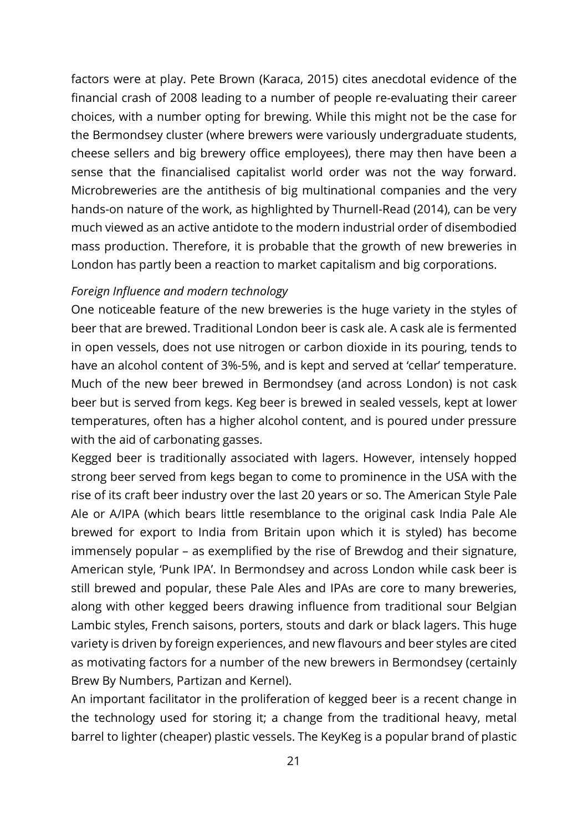factors were at play. Pete Brown (Karaca, 2015) cites anecdotal evidence of the financial crash of 2008 leading to a number of people re-evaluating their career choices, with a number opting for brewing. While this might not be the case for the Bermondsey cluster (where brewers were variously undergraduate students, cheese sellers and big brewery office employees), there may then have been a sense that the financialised capitalist world order was not the way forward. Microbreweries are the antithesis of big multinational companies and the very hands-on nature of the work, as highlighted by Thurnell-Read (2014), can be very much viewed as an active antidote to the modern industrial order of disembodied mass production. Therefore, it is probable that the growth of new breweries in London has partly been a reaction to market capitalism and big corporations.

#### *Foreign Influence and modern technology*

One noticeable feature of the new breweries is the huge variety in the styles of beer that are brewed. Traditional London beer is cask ale. A cask ale is fermented in open vessels, does not use nitrogen or carbon dioxide in its pouring, tends to have an alcohol content of 3%-5%, and is kept and served at 'cellar' temperature. Much of the new beer brewed in Bermondsey (and across London) is not cask beer but is served from kegs. Keg beer is brewed in sealed vessels, kept at lower temperatures, often has a higher alcohol content, and is poured under pressure with the aid of carbonating gasses.

Kegged beer is traditionally associated with lagers. However, intensely hopped strong beer served from kegs began to come to prominence in the USA with the rise of its craft beer industry over the last 20 years or so. The American Style Pale Ale or A/IPA (which bears little resemblance to the original cask India Pale Ale brewed for export to India from Britain upon which it is styled) has become immensely popular – as exemplified by the rise of Brewdog and their signature, American style, 'Punk IPA'. In Bermondsey and across London while cask beer is still brewed and popular, these Pale Ales and IPAs are core to many breweries, along with other kegged beers drawing influence from traditional sour Belgian Lambic styles, French saisons, porters, stouts and dark or black lagers. This huge variety is driven by foreign experiences, and new flavours and beer styles are cited as motivating factors for a number of the new brewers in Bermondsey (certainly Brew By Numbers, Partizan and Kernel).

An important facilitator in the proliferation of kegged beer is a recent change in the technology used for storing it; a change from the traditional heavy, metal barrel to lighter (cheaper) plastic vessels. The KeyKeg is a popular brand of plastic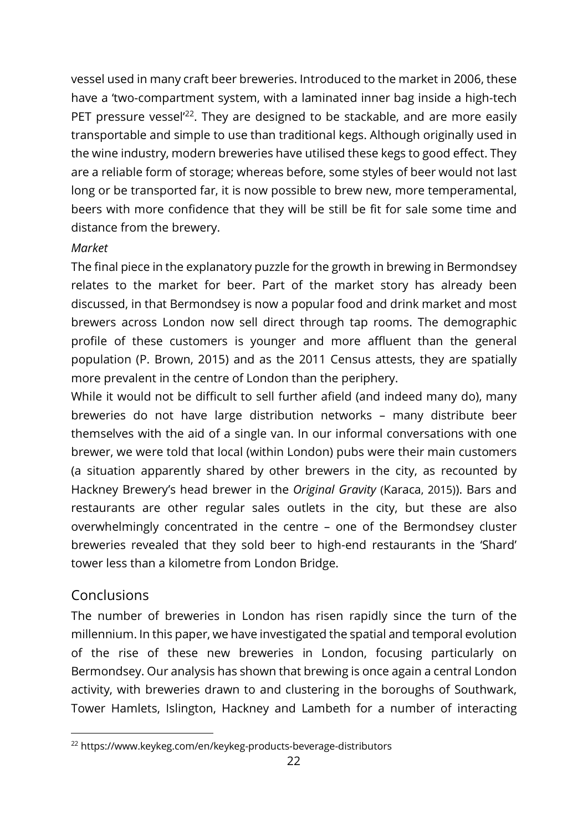vessel used in many craft beer breweries. Introduced to the market in 2006, these have a 'two-compartment system, with a laminated inner bag inside a high-tech PET pressure vessel<sup>'22</sup>. They are designed to be stackable, and are more easily transportable and simple to use than traditional kegs. Although originally used in the wine industry, modern breweries have utilised these kegs to good effect. They are a reliable form of storage; whereas before, some styles of beer would not last long or be transported far, it is now possible to brew new, more temperamental, beers with more confidence that they will be still be fit for sale some time and distance from the brewery.

#### *Market*

The final piece in the explanatory puzzle for the growth in brewing in Bermondsey relates to the market for beer. Part of the market story has already been discussed, in that Bermondsey is now a popular food and drink market and most brewers across London now sell direct through tap rooms. The demographic profile of these customers is younger and more affluent than the general population (P. Brown, 2015) and as the 2011 Census attests, they are spatially more prevalent in the centre of London than the periphery.

While it would not be difficult to sell further afield (and indeed many do), many breweries do not have large distribution networks – many distribute beer themselves with the aid of a single van. In our informal conversations with one brewer, we were told that local (within London) pubs were their main customers (a situation apparently shared by other brewers in the city, as recounted by Hackney Brewery's head brewer in the *Original Gravity* (Karaca, 2015)). Bars and restaurants are other regular sales outlets in the city, but these are also overwhelmingly concentrated in the centre – one of the Bermondsey cluster breweries revealed that they sold beer to high-end restaurants in the 'Shard' tower less than a kilometre from London Bridge.

## Conclusions

-

The number of breweries in London has risen rapidly since the turn of the millennium. In this paper, we have investigated the spatial and temporal evolution of the rise of these new breweries in London, focusing particularly on Bermondsey. Our analysis has shown that brewing is once again a central London activity, with breweries drawn to and clustering in the boroughs of Southwark, Tower Hamlets, Islington, Hackney and Lambeth for a number of interacting

<span id="page-21-0"></span><sup>22</sup> https://www.keykeg.com/en/keykeg-products-beverage-distributors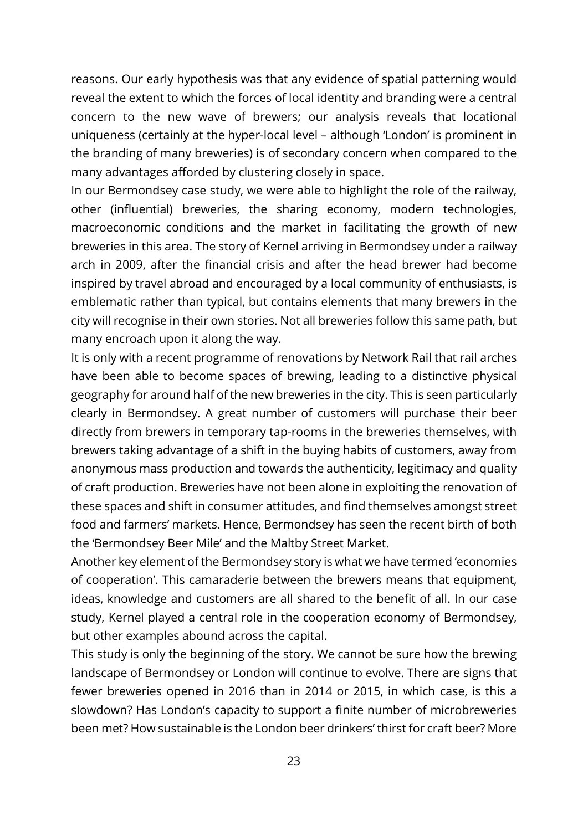reasons. Our early hypothesis was that any evidence of spatial patterning would reveal the extent to which the forces of local identity and branding were a central concern to the new wave of brewers; our analysis reveals that locational uniqueness (certainly at the hyper-local level – although 'London' is prominent in the branding of many breweries) is of secondary concern when compared to the many advantages afforded by clustering closely in space.

In our Bermondsey case study, we were able to highlight the role of the railway, other (influential) breweries, the sharing economy, modern technologies, macroeconomic conditions and the market in facilitating the growth of new breweries in this area. The story of Kernel arriving in Bermondsey under a railway arch in 2009, after the financial crisis and after the head brewer had become inspired by travel abroad and encouraged by a local community of enthusiasts, is emblematic rather than typical, but contains elements that many brewers in the city will recognise in their own stories. Not all breweries follow this same path, but many encroach upon it along the way.

It is only with a recent programme of renovations by Network Rail that rail arches have been able to become spaces of brewing, leading to a distinctive physical geography for around half of the new breweries in the city. This is seen particularly clearly in Bermondsey. A great number of customers will purchase their beer directly from brewers in temporary tap-rooms in the breweries themselves, with brewers taking advantage of a shift in the buying habits of customers, away from anonymous mass production and towards the authenticity, legitimacy and quality of craft production. Breweries have not been alone in exploiting the renovation of these spaces and shift in consumer attitudes, and find themselves amongst street food and farmers' markets. Hence, Bermondsey has seen the recent birth of both the 'Bermondsey Beer Mile' and the Maltby Street Market.

Another key element of the Bermondsey story is what we have termed 'economies of cooperation'. This camaraderie between the brewers means that equipment, ideas, knowledge and customers are all shared to the benefit of all. In our case study, Kernel played a central role in the cooperation economy of Bermondsey, but other examples abound across the capital.

This study is only the beginning of the story. We cannot be sure how the brewing landscape of Bermondsey or London will continue to evolve. There are signs that fewer breweries opened in 2016 than in 2014 or 2015, in which case, is this a slowdown? Has London's capacity to support a finite number of microbreweries been met? How sustainable is the London beer drinkers' thirst for craft beer? More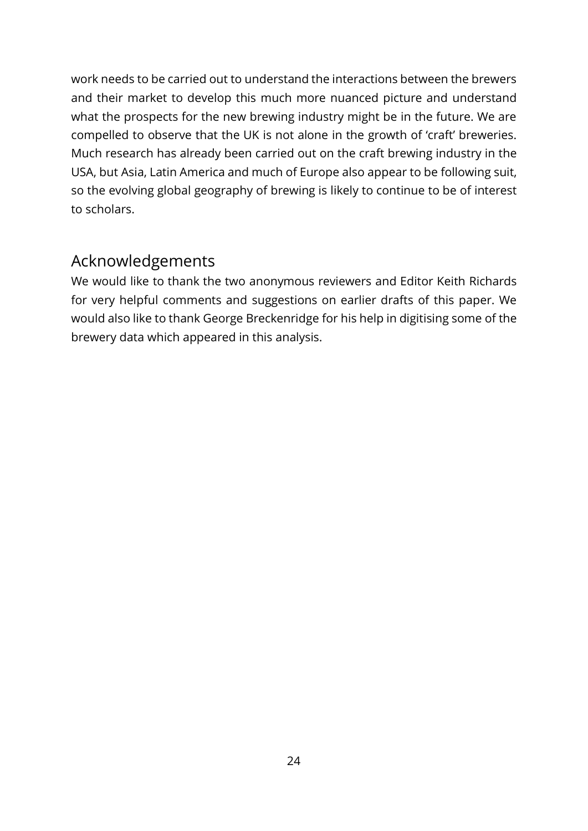work needs to be carried out to understand the interactions between the brewers and their market to develop this much more nuanced picture and understand what the prospects for the new brewing industry might be in the future. We are compelled to observe that the UK is not alone in the growth of 'craft' breweries. Much research has already been carried out on the craft brewing industry in the USA, but Asia, Latin America and much of Europe also appear to be following suit, so the evolving global geography of brewing is likely to continue to be of interest to scholars.

# Acknowledgements

We would like to thank the two anonymous reviewers and Editor Keith Richards for very helpful comments and suggestions on earlier drafts of this paper. We would also like to thank George Breckenridge for his help in digitising some of the brewery data which appeared in this analysis.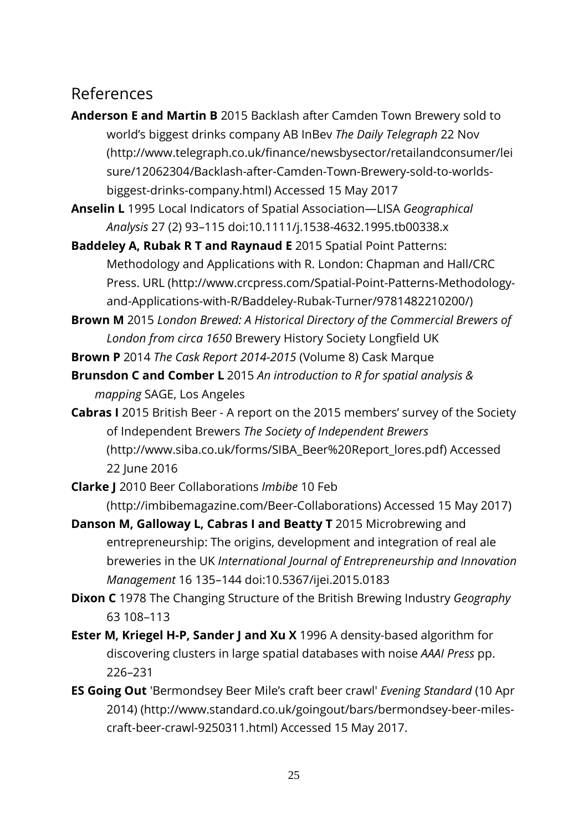# References

- **Anderson E and Martin B** 2015 Backlash after Camden Town Brewery sold to world's biggest drinks company AB InBev *The Daily Telegraph* 22 Nov (http://www.telegraph.co.uk/finance/newsbysector/retailandconsumer/lei sure/12062304/Backlash-after-Camden-Town-Brewery-sold-to-worldsbiggest-drinks-company.html) Accessed 15 May 2017
- **Anselin L** 1995 Local Indicators of Spatial Association—LISA *Geographical Analysis* 27 (2) 93–115 doi:10.1111/j.1538-4632.1995.tb00338.x
- **Baddeley A, Rubak R T and Raynaud E** 2015 Spatial Point Patterns: Methodology and Applications with R. London: Chapman and Hall/CRC Press. URL (http://www.crcpress.com/Spatial-Point-Patterns-Methodologyand-Applications-with-R/Baddeley-Rubak-Turner/9781482210200/)
- **Brown M** 2015 *London Brewed: A Historical Directory of the Commercial Brewers of London from circa 1650* Brewery History Society Longfield UK
- **Brown P** 2014 *The Cask Report 2014-2015* (Volume 8) Cask Marque
- **Brunsdon C and Comber L** 2015 *An introduction to R for spatial analysis & mapping* SAGE, Los Angeles
- **Cabras I** 2015 British Beer A report on the 2015 members' survey of the Society of Independent Brewers *The Society of Independent Brewers* (http://www.siba.co.uk/forms/SIBA\_Beer%20Report\_lores.pdf) Accessed 22 June 2016
- **Clarke J** 2010 Beer Collaborations *Imbibe* 10 Feb (http://imbibemagazine.com/Beer-Collaborations) Accessed 15 May 2017)
- **Danson M, Galloway L, Cabras I and Beatty T** 2015 Microbrewing and entrepreneurship: The origins, development and integration of real ale breweries in the UK *International Journal of Entrepreneurship and Innovation Management* 16 135–144 doi:10.5367/ijei.2015.0183
- **Dixon C** 1978 The Changing Structure of the British Brewing Industry *Geography* 63 108–113
- **Ester M, Kriegel H-P, Sander J and Xu X** 1996 A density-based algorithm for discovering clusters in large spatial databases with noise *AAAI Press* pp. 226–231
- **ES Going Out** 'Bermondsey Beer Mile's craft beer crawl' *Evening Standard* (10 Apr 2014) (http://www.standard.co.uk/goingout/bars/bermondsey-beer-milescraft-beer-crawl-9250311.html) Accessed 15 May 2017.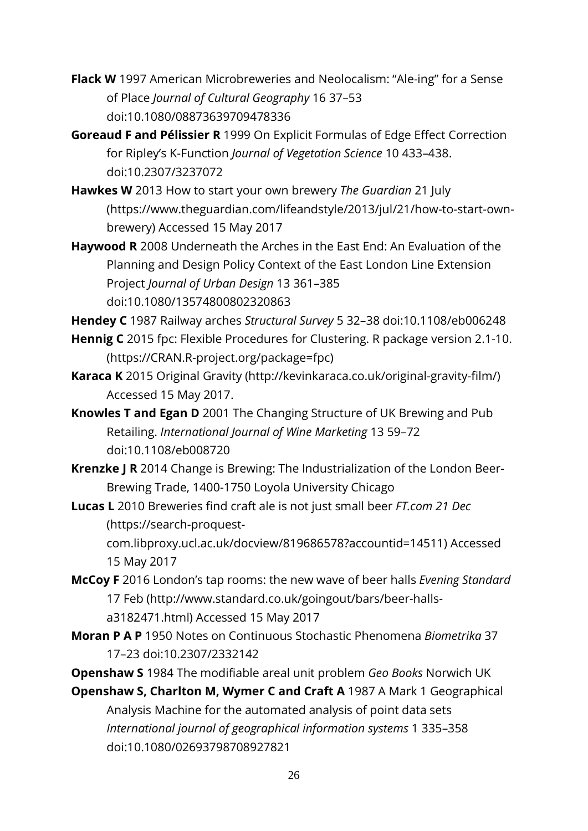- **Flack W** 1997 American Microbreweries and Neolocalism: "Ale-ing" for a Sense of Place *Journal of Cultural Geography* 16 37–53 doi:10.1080/08873639709478336
- **Goreaud F and Pélissier R** 1999 On Explicit Formulas of Edge Effect Correction for Ripley's K-Function *Journal of Vegetation Science* 10 433–438. doi:10.2307/3237072
- **Hawkes W** 2013 How to start your own brewery *The Guardian* 21 July (https://www.theguardian.com/lifeandstyle/2013/jul/21/how-to-start-ownbrewery) Accessed 15 May 2017
- **Haywood R** 2008 Underneath the Arches in the East End: An Evaluation of the Planning and Design Policy Context of the East London Line Extension Project *Journal of Urban Design* 13 361–385 doi:10.1080/13574800802320863

**Hendey C** 1987 Railway arches *Structural Survey* 5 32–38 doi:10.1108/eb006248

- **Hennig C** 2015 fpc: Flexible Procedures for Clustering. R package version 2.1-10. (https://CRAN.R-project.org/package=fpc)
- **Karaca K** 2015 Original Gravity (http://kevinkaraca.co.uk/original-gravity-film/) Accessed 15 May 2017.
- **Knowles T and Egan D** 2001 The Changing Structure of UK Brewing and Pub Retailing. *International Journal of Wine Marketing* 13 59–72 doi:10.1108/eb008720
- **Krenzke J R** 2014 Change is Brewing: The Industrialization of the London Beer-Brewing Trade, 1400-1750 Loyola University Chicago
- **Lucas L** 2010 Breweries find craft ale is not just small beer *FT.com 21 Dec* (https://search-proquest-

com.libproxy.ucl.ac.uk/docview/819686578?accountid=14511) Accessed 15 May 2017

- **McCoy F** 2016 London's tap rooms: the new wave of beer halls *Evening Standard* 17 Feb (http://www.standard.co.uk/goingout/bars/beer-hallsa3182471.html) Accessed 15 May 2017
- **Moran P A P** 1950 Notes on Continuous Stochastic Phenomena *Biometrika* 37 17–23 doi:10.2307/2332142
- **Openshaw S** 1984 The modifiable areal unit problem *Geo Books* Norwich UK
- **Openshaw S, Charlton M, Wymer C and Craft A** 1987 A Mark 1 Geographical Analysis Machine for the automated analysis of point data sets *International journal of geographical information systems* 1 335–358 doi:10.1080/02693798708927821